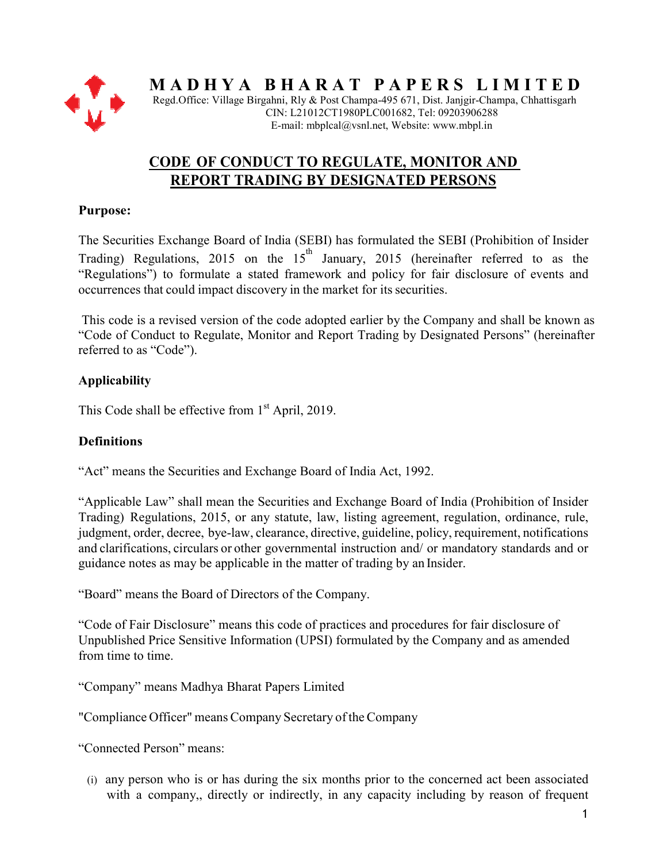

 $M$  A  $D$  H  $Y$  A  $B$  H  $A$   $R$   $A$   $T$   $P$   $A$   $P$   $E$   $R$   $S$   $L$   $I$   $M$   $I$   $T$   $E$   $D$ 

Regd.Office: Village Birgahni, Rly & Post Champa-495 671, Dist. Janjgir-Champa, Chhattisgarh CIN: L21012CT1980PLC001682, Tel: 09203906288 E-mail: mbplcal@vsnl.net, Website: www.mbpl.in

# **CODE OF CONDUCT TO REGULATE, MONITOR AND**  <u>DE OF CONDUCT TO REGULATE, MONITOR A</u><br>REPORT TRADING BY DESIGNATED PERSONS

## **Purpose:**

The Securities Exchange Board of India (SEBI) has formulated the SEBI (Prohibition of Insider  $\overline{F}$ Trading) Regulations, 2015 on the 15 January, 2015 (hereinafter referred to as the "Regulations") to formulate a stated framework and policy for fair disclosure of events and occurrences that could impact discovery in the market for its securities.

This code is a revised version of the code adopted earlier by the Company and shall be known as This code is a revised version of the code adopted earlier by the Company and shall be known as "Code of Conduct to Regulate, Monitor and Report Trading by Designated Persons" (hereinafter referred to as "Code").

# **Applicability**

This Code shall be effective from 1<sup>st</sup> April, 2019.

# **Definitions**

"Act" means the Securities and Exchange Board of India Act, 1992.

"Applicable Law" shall mean the Securities and Exchange Board of India (Prohibition of Insider "Applicable Law" shall mean the Securities and Exchange Board of India (Prohibition of Insider Trading) Regulations, 2015, or any statute, law, listing agreement, regulation, ordinance, rule, judgment, order, decree, bye-law, clearance, directive, guideline, policy, requirement, notifications and clarifications, circulars or other governmental instruction and/ or mandatory standards and or guidance notes as may be applicable in the matter of trading by an Insider. guidance notes as may be applicable in the matter of trading by an

"Board" means the Board of Directors of the Company.

"Code of Fair Disclosure" means this code of practices and procedures for fair disclosure of Unpublished Price Sensitive Information (UPSI) formulated by the Company and as amended from time to time.

"Company" means Madhya Bharat Papers Limited

"Compliance Officer" means Company Company Secretary of the Company

"Connected Person" means:

(i) any person who is or has during the six months prior to the concerned act been associated with a company,, directly or indirectly, in any capacity including by reason rmation (UPSI) formulated by the Company and as amended<br>at Papers Limited<br>apany Secretary of the Company<br>uring the six months prior to the concerned act been associated<br>or indirectly, in any capacity including by reason of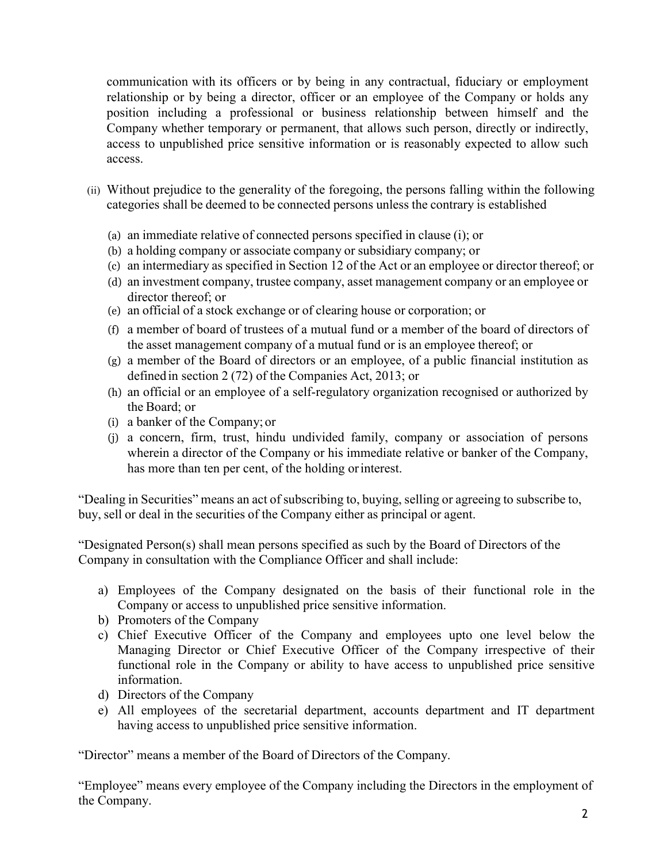communication with its officers or by being in any contractual, fiduciary or employment relationship or by being a director, officer or an employee of the Company or holds any position including a professional or business relationship between himself and the Company whether temporary or permanent, that allows such person, directly or indirectly, access to unpublished price sensitive information or is reasonably expected to allow such access.

- (ii) Without prejudice to the generality of the foregoing, the persons falling within the following categories shall be deemed to be connected persons unless the contrary is established
	- (a) an immediate relative of connected persons specified in clause (i); or
	- (b) a holding company or associate company or subsidiary company; or
	- (c) an intermediary as specified in Section 12 of the Act or an employee or director thereof; or
	- (d) an investment company, trustee company, asset management company or an employee or director thereof; or
	- (e) an official of a stock exchange or of clearing house or corporation; or
	- (f) a member of board of trustees of a mutual fund or a member of the board of directors of the asset management company of a mutual fund or is an employee thereof; or
	- (g) a member of the Board of directors or an employee, of a public financial institution as defined in section 2 (72) of the Companies Act, 2013; or
	- (h) an official or an employee of a self-regulatory organization recognised or authorized by the Board; or
	- (i) a banker of the Company; or
	- (j) a concern, firm, trust, hindu undivided family, company or association of persons wherein a director of the Company or his immediate relative or banker of the Company, has more than ten per cent, of the holding or interest.

"Dealing in Securities" means an act of subscribing to, buying, selling or agreeing to subscribe to, buy, sell or deal in the securities of the Company either as principal or agent.

"Designated Person(s) shall mean persons specified as such by the Board of Directors of the Company in consultation with the Compliance Officer and shall include:

- a) Employees of the Company designated on the basis of their functional role in the Company or access to unpublished price sensitive information.
- b) Promoters of the Company
- c) Chief Executive Officer of the Company and employees upto one level below the Managing Director or Chief Executive Officer of the Company irrespective of their functional role in the Company or ability to have access to unpublished price sensitive information.
- d) Directors of the Company
- e) All employees of the secretarial department, accounts department and IT department having access to unpublished price sensitive information.

"Director" means a member of the Board of Directors of the Company.

"Employee" means every employee of the Company including the Directors in the employment of the Company.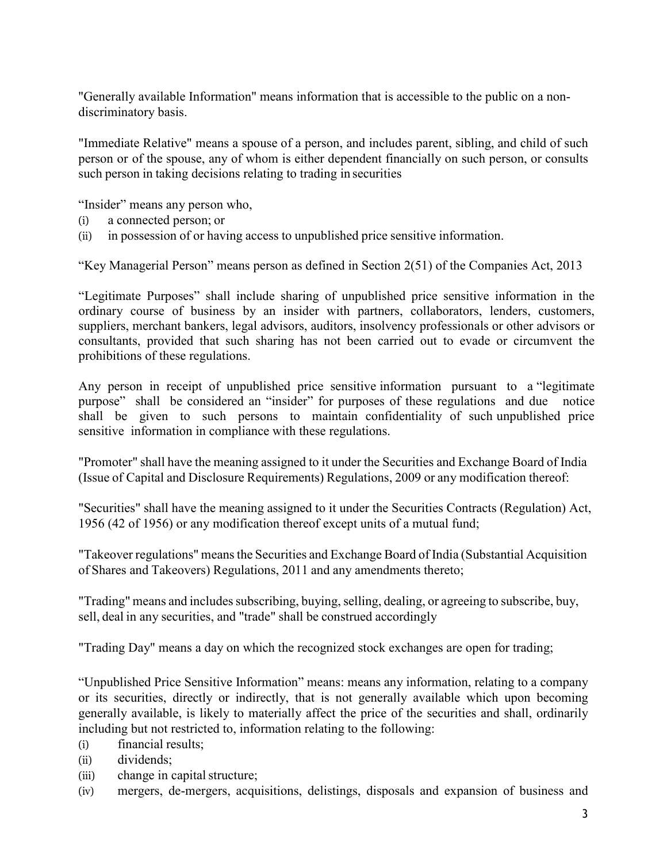"Generally available Information" means information that is accessible to the public on a nondiscriminatory basis.

"Immediate Relative" means a spouse of a person, and includes parent, sibling, and child of such person or of the spouse, any of whom is either dependent financially on such person, or consults such person in taking decisions relating to trading in securities

"Insider" means any person who,

- (i) a connected person; or
- (ii) in possession of or having access to unpublished price sensitive information.

"Key Managerial Person" means person as defined in Section 2(51) of the Companies Act, 2013

"Legitimate Purposes" shall include sharing of unpublished price sensitive information in the ordinary course of business by an insider with partners, collaborators, lenders, customers, suppliers, merchant bankers, legal advisors, auditors, insolvency professionals or other advisors or consultants, provided that such sharing has not been carried out to evade or circumvent the prohibitions of these regulations.

Any person in receipt of unpublished price sensitive information pursuant to a "legitimate purpose" shall be considered an "insider" for purposes of these regulations and due notice shall be given to such persons to maintain confidentiality of such unpublished price sensitive information in compliance with these regulations.

"Promoter" shall have the meaning assigned to it under the Securities and Exchange Board of India (Issue of Capital and Disclosure Requirements) Regulations, 2009 or any modification thereof:

"Securities" shall have the meaning assigned to it under the Securities Contracts (Regulation) Act, 1956 (42 of 1956) or any modification thereof except units of a mutual fund;

"Takeover regulations" means the Securities and Exchange Board of India (Substantial Acquisition of Shares and Takeovers) Regulations, 2011 and any amendments thereto;

"Trading" means and includes subscribing, buying, selling, dealing, or agreeing to subscribe, buy, sell, deal in any securities, and "trade" shall be construed accordingly

"Trading Day" means a day on which the recognized stock exchanges are open for trading;

"Unpublished Price Sensitive Information" means: means any information, relating to a company or its securities, directly or indirectly, that is not generally available which upon becoming generally available, is likely to materially affect the price of the securities and shall, ordinarily including but not restricted to, information relating to the following:

- (i) financial results;
- (ii) dividends;
- (iii) change in capital structure;
- (iv) mergers, de-mergers, acquisitions, delistings, disposals and expansion of business and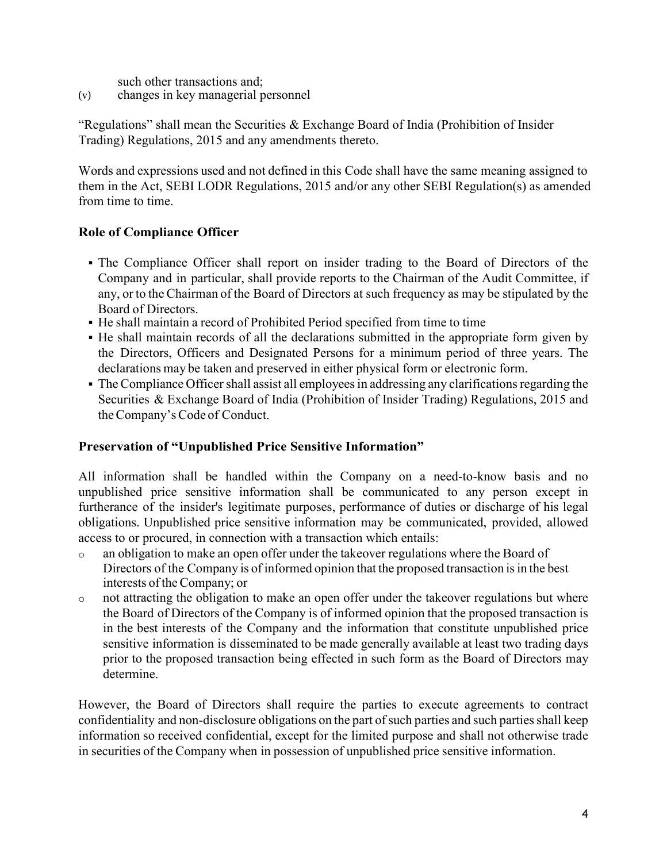such other transactions and;

(v) changes in key managerial personnel

"Regulations" shall mean the Securities  $&$  Exchange Board of India (Prohibition of Insider Trading) Regulations, 2015 and any amendments thereto.

Words and expressions used and not defined in this Code shall have the same meaning assigned to them in the Act, SEBI LODR Regulations, 2015 and/or any other SEBI Regulation(s) as amended from time to time.

### **Role of Compliance Officer**

- The Compliance Officer shall report on insider trading to the Board of Directors of the Company and in particular, shall provide reports to the Chairman of the Audit Committee, if any, or to the Chairman of the Board of Directors at such frequency as may be stipulated by the Board of Directors.
- He shall maintain a record of Prohibited Period specified from time to time
- He shall maintain records of all the declarations submitted in the appropriate form given by the Directors, Officers and Designated Persons for a minimum period of three years. The declarations may be taken and preserved in either physical form or electronic form.
- The Compliance Officer shall assist all employees in addressing any clarifications regarding the Securities & Exchange Board of India (Prohibition of Insider Trading) Regulations, 2015 and the Company's Code of Conduct.

### **Preservation of "Unpublished Price Sensitive Information"**

All information shall be handled within the Company on a need-to-know basis and no unpublished price sensitive information shall be communicated to any person except in furtherance of the insider's legitimate purposes, performance of duties or discharge of his legal obligations. Unpublished price sensitive information may be communicated, provided, allowed access to or procured, in connection with a transaction which entails:

- o an obligation to make an open offer under the takeover regulations where the Board of Directors of the Company is of informed opinion that the proposed transaction is in the best interests of the Company; or
- o not attracting the obligation to make an open offer under the takeover regulations but where the Board of Directors of the Company is of informed opinion that the proposed transaction is in the best interests of the Company and the information that constitute unpublished price sensitive information is disseminated to be made generally available at least two trading days prior to the proposed transaction being effected in such form as the Board of Directors may determine.

However, the Board of Directors shall require the parties to execute agreements to contract confidentiality and non-disclosure obligations on the part of such parties and such parties shall keep information so received confidential, except for the limited purpose and shall not otherwise trade in securities of the Company when in possession of unpublished price sensitive information.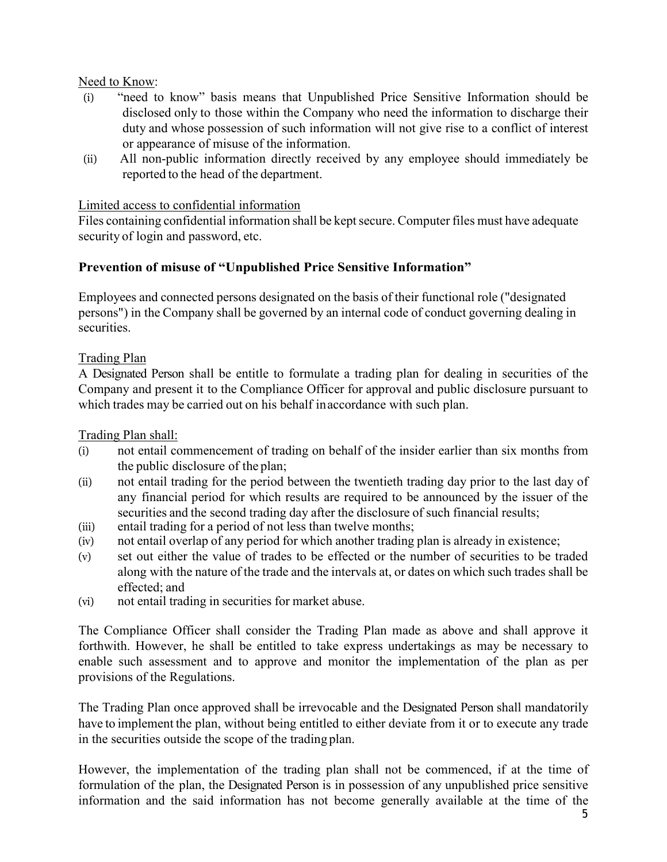#### Need to Know:

- (i) "need to know" basis means that Unpublished Price Sensitive Information should be disclosed only to those within the Company who need the information to discharge their duty and whose possession of such information will not give rise to a conflict of interest or appearance of misuse of the information.
- (ii) All non-public information directly received by any employee should immediately be reported to the head of the department.

#### Limited access to confidential information

Files containing confidential information shall be kept secure. Computer files must have adequate security of login and password, etc.

### **Prevention of misuse of "Unpublished Price Sensitive Information"**

Employees and connected persons designated on the basis of their functional role ("designated persons") in the Company shall be governed by an internal code of conduct governing dealing in securities.

### Trading Plan

A Designated Person shall be entitle to formulate a trading plan for dealing in securities of the Company and present it to the Compliance Officer for approval and public disclosure pursuant to which trades may be carried out on his behalf in accordance with such plan.

Trading Plan shall:

- (i) not entail commencement of trading on behalf of the insider earlier than six months from the public disclosure of the plan;
- (ii) not entail trading for the period between the twentieth trading day prior to the last day of any financial period for which results are required to be announced by the issuer of the securities and the second trading day after the disclosure of such financial results;
- (iii) entail trading for a period of not less than twelve months;
- (iv) not entail overlap of any period for which another trading plan is already in existence;
- (v) set out either the value of trades to be effected or the number of securities to be traded along with the nature of the trade and the intervals at, or dates on which such trades shall be effected; and
- (vi) not entail trading in securities for market abuse.

The Compliance Officer shall consider the Trading Plan made as above and shall approve it forthwith. However, he shall be entitled to take express undertakings as may be necessary to enable such assessment and to approve and monitor the implementation of the plan as per provisions of the Regulations.

The Trading Plan once approved shall be irrevocable and the Designated Person shall mandatorily have to implement the plan, without being entitled to either deviate from it or to execute any trade in the securities outside the scope of the trading plan.

However, the implementation of the trading plan shall not be commenced, if at the time of formulation of the plan, the Designated Person is in possession of any unpublished price sensitive information and the said information has not become generally available at the time of the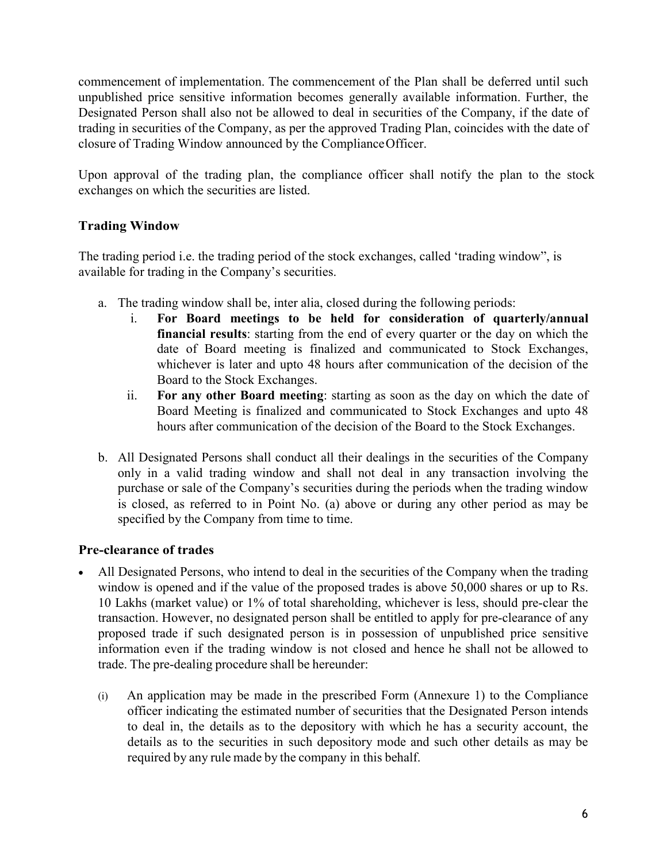commencement of implementation. The commencement of the Plan shall be deferred until such unpublished price sensitive information becomes generally available information. Further, the Designated Person shall also not be allowed to deal in securities of the Company, if the date of trading in securities of the Company, as per the approved Trading Plan, coincides with the date of closure of Trading Window announced by the Compliance Officer.

Upon approval of the trading plan, the compliance officer shall notify the plan to the stock exchanges on which the securities are listed.

## **Trading Window**

The trading period i.e. the trading period of the stock exchanges, called 'trading window", is available for trading in the Company's securities.

- a. The trading window shall be, inter alia, closed during the following periods:
	- i. **For Board meetings to be held for consideration of quarterly/annual financial results**: starting from the end of every quarter or the day on which the date of Board meeting is finalized and communicated to Stock Exchanges, whichever is later and upto 48 hours after communication of the decision of the Board to the Stock Exchanges.
	- ii. **For any other Board meeting**: starting as soon as the day on which the date of Board Meeting is finalized and communicated to Stock Exchanges and upto 48 hours after communication of the decision of the Board to the Stock Exchanges.
- b. All Designated Persons shall conduct all their dealings in the securities of the Company only in a valid trading window and shall not deal in any transaction involving the purchase or sale of the Company's securities during the periods when the trading window is closed, as referred to in Point No. (a) above or during any other period as may be specified by the Company from time to time.

## **Pre-clearance of trades**

- All Designated Persons, who intend to deal in the securities of the Company when the trading window is opened and if the value of the proposed trades is above 50,000 shares or up to Rs. 10 Lakhs (market value) or 1% of total shareholding, whichever is less, should pre-clear the transaction. However, no designated person shall be entitled to apply for pre-clearance of any proposed trade if such designated person is in possession of unpublished price sensitive information even if the trading window is not closed and hence he shall not be allowed to trade. The pre-dealing procedure shall be hereunder:
	- (i) An application may be made in the prescribed Form (Annexure 1) to the Compliance officer indicating the estimated number of securities that the Designated Person intends to deal in, the details as to the depository with which he has a security account, the details as to the securities in such depository mode and such other details as may be required by any rule made by the company in this behalf.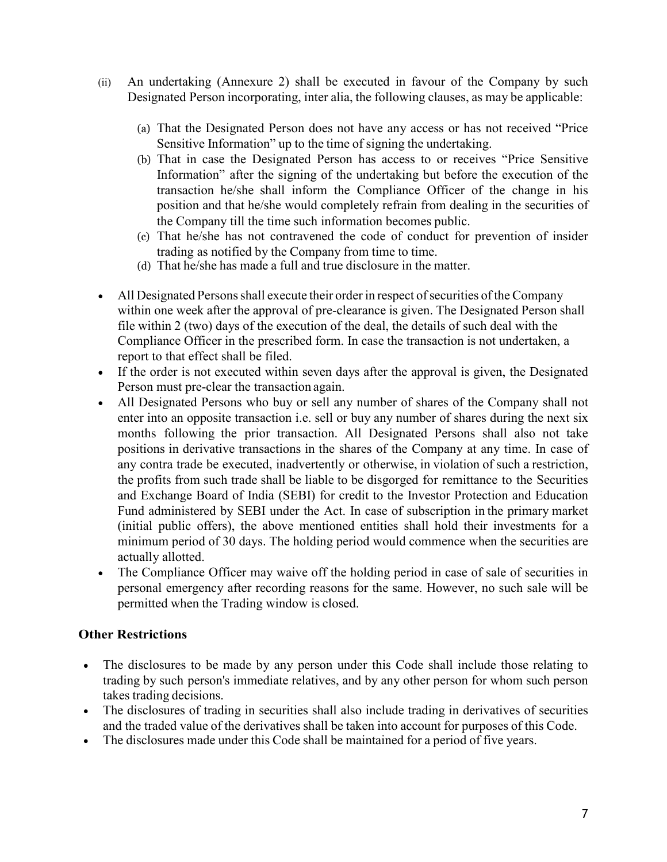- (ii) An undertaking (Annexure 2) shall be executed in favour of the Company by such Designated Person incorporating, inter alia, the following clauses, as may be applicable:
	- (a) That the Designated Person does not have any access or has not received "Price Sensitive Information" up to the time of signing the undertaking.
	- (b) That in case the Designated Person has access to or receives "Price Sensitive Information" after the signing of the undertaking but before the execution of the transaction he/she shall inform the Compliance Officer of the change in his position and that he/she would completely refrain from dealing in the securities of the Company till the time such information becomes public.
	- (c) That he/she has not contravened the code of conduct for prevention of insider trading as notified by the Company from time to time.
	- (d) That he/she has made a full and true disclosure in the matter.
- All Designated Persons shall execute their order in respect of securities of the Company within one week after the approval of pre-clearance is given. The Designated Person shall file within 2 (two) days of the execution of the deal, the details of such deal with the Compliance Officer in the prescribed form. In case the transaction is not undertaken, a report to that effect shall be filed.
- If the order is not executed within seven days after the approval is given, the Designated Person must pre-clear the transaction again.
- All Designated Persons who buy or sell any number of shares of the Company shall not enter into an opposite transaction i.e. sell or buy any number of shares during the next six months following the prior transaction. All Designated Persons shall also not take positions in derivative transactions in the shares of the Company at any time. In case of any contra trade be executed, inadvertently or otherwise, in violation of such a restriction, the profits from such trade shall be liable to be disgorged for remittance to the Securities and Exchange Board of India (SEBI) for credit to the Investor Protection and Education Fund administered by SEBI under the Act. In case of subscription in the primary market (initial public offers), the above mentioned entities shall hold their investments for a minimum period of 30 days. The holding period would commence when the securities are actually allotted.
- The Compliance Officer may waive off the holding period in case of sale of securities in personal emergency after recording reasons for the same. However, no such sale will be permitted when the Trading window is closed.

### **Other Restrictions**

- The disclosures to be made by any person under this Code shall include those relating to trading by such person's immediate relatives, and by any other person for whom such person takes trading decisions.
- The disclosures of trading in securities shall also include trading in derivatives of securities and the traded value of the derivatives shall be taken into account for purposes of this Code.
- The disclosures made under this Code shall be maintained for a period of five years.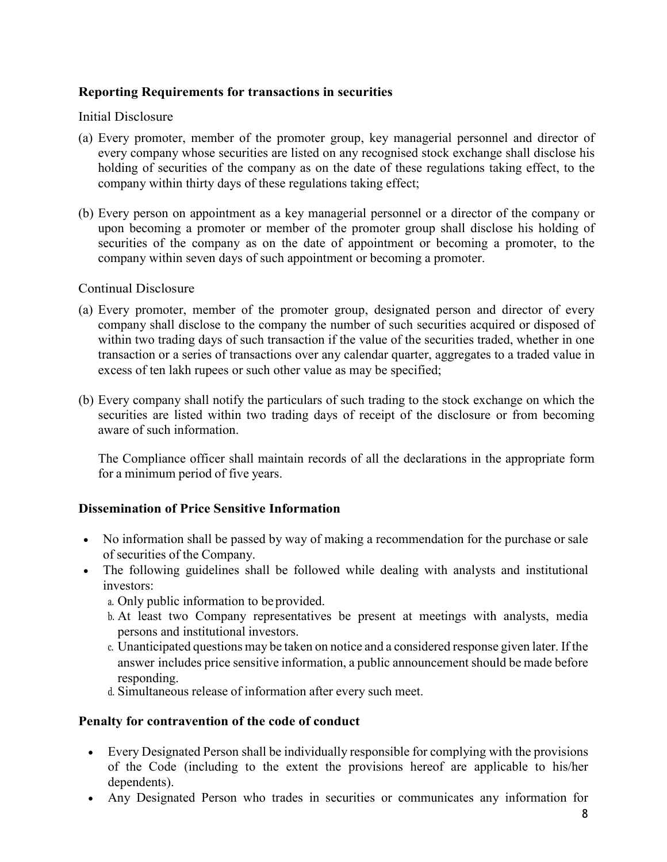### **Reporting Requirements for transactions in securities**

#### Initial Disclosure

- (a) Every promoter, member of the promoter group, key managerial personnel and director of every company whose securities are listed on any recognised stock exchange shall disclose his holding of securities of the company as on the date of these regulations taking effect, to the company within thirty days of these regulations taking effect;
- (b) Every person on appointment as a key managerial personnel or a director of the company or upon becoming a promoter or member of the promoter group shall disclose his holding of securities of the company as on the date of appointment or becoming a promoter, to the company within seven days of such appointment or becoming a promoter.

#### Continual Disclosure

- (a) Every promoter, member of the promoter group, designated person and director of every company shall disclose to the company the number of such securities acquired or disposed of within two trading days of such transaction if the value of the securities traded, whether in one transaction or a series of transactions over any calendar quarter, aggregates to a traded value in excess of ten lakh rupees or such other value as may be specified;
- (b) Every company shall notify the particulars of such trading to the stock exchange on which the securities are listed within two trading days of receipt of the disclosure or from becoming aware of such information.

The Compliance officer shall maintain records of all the declarations in the appropriate form for a minimum period of five years.

### **Dissemination of Price Sensitive Information**

- No information shall be passed by way of making a recommendation for the purchase or sale of securities of the Company.
- The following guidelines shall be followed while dealing with analysts and institutional investors:
	- a. Only public information to be provided.
	- b. At least two Company representatives be present at meetings with analysts, media persons and institutional investors.
	- c. Unanticipated questions may be taken on notice and a considered response given later. If the answer includes price sensitive information, a public announcement should be made before responding.
	- d. Simultaneous release of information after every such meet.

#### **Penalty for contravention of the code of conduct**

- Every Designated Person shall be individually responsible for complying with the provisions of the Code (including to the extent the provisions hereof are applicable to his/her dependents).
- Any Designated Person who trades in securities or communicates any information for